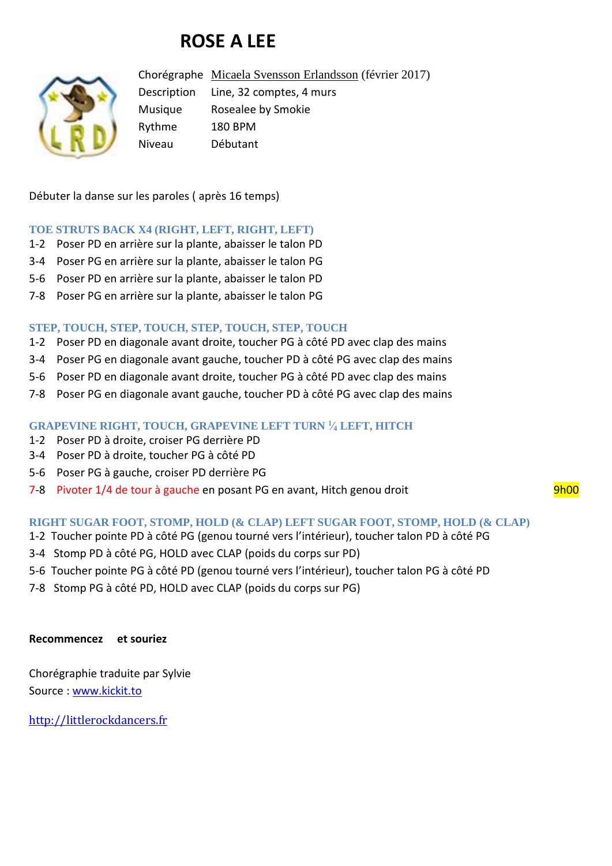# **ROSE A LEE**



Chorégraphe [Micaela Svensson Erlandsson](http://www.kickit.to/chor) (février 2017) Description Line, 32 comptes, 4 murs Musique Rosealee by Smokie Rythme 180 BPM Niveau Débutant

Débuter la danse sur les paroles ( après 16 temps)

#### **TOE STRUTS BACK X4 (RIGHT, LEFT, RIGHT, LEFT)**

- 1-2 Poser PD en arrière sur la plante, abaisser le talon PD
- 3-4 Poser PG en arrière sur la plante, abaisser le talon PG
- 5-6 Poser PD en arrière sur la plante, abaisser le talon PD
- 7-8 Poser PG en arrière sur la plante, abaisser le talon PG

### **STEP, TOUCH, STEP, TOUCH, STEP, TOUCH, STEP, TOUCH**

- 1-2 Poser PD en diagonale avant droite, toucher PG à côté PD avec clap des mains
- 3-4 Poser PG en diagonale avant gauche, toucher PD à côté PG avec clap des mains
- 5-6 Poser PD en diagonale avant droite, toucher PG à côté PD avec clap des mains
- 7-8 Poser PG en diagonale avant gauche, toucher PD à côté PG avec clap des mains

#### **GRAPEVINE RIGHT, TOUCH, GRAPEVINE LEFT TURN <sup>1</sup> ⁄<sup>4</sup> LEFT, HITCH**

- 1-2 Poser PD à droite, croiser PG derrière PD
- 3-4 Poser PD à droite, toucher PG à côté PD
- 5-6 Poser PG à gauche, croiser PD derrière PG
- 7-8 Pivoter 1/4 de tour à gauche en posant PG en avant, Hitch genou droit en mande en son van de 19h00

## **RIGHT SUGAR FOOT, STOMP, HOLD (& CLAP) LEFT SUGAR FOOT, STOMP, HOLD (& CLAP)**

- 1-2 Toucher pointe PD à côté PG (genou tourné vers l'intérieur), toucher talon PD à côté PG
- 3-4 Stomp PD à côté PG, HOLD avec CLAP (poids du corps sur PD)
- 5-6 Toucher pointe PG à côté PD (genou tourné vers l'intérieur), toucher talon PG à côté PD
- 7-8 Stomp PG à côté PD, HOLD avec CLAP (poids du corps sur PG)

#### **Recommencez et souriez**

Chorégraphie traduite par Sylvie Source : [www.kickit.to](http://www.kickit.to/)

[http://littlerockdancers.fr](http://littlerockdancers.fr/)